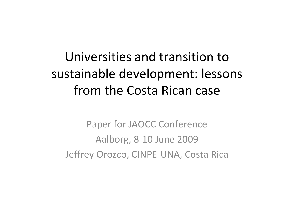## Universities and transition tosustainable development: lessons from the Costa Rican case

Paper for JAOCC Conference Aalborg, 8‐10 June 2009 Jeffrey Orozco, CINPE‐UNA, Costa Rica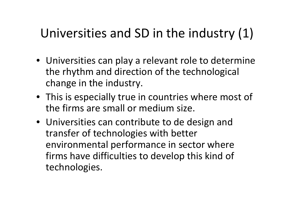## Universities and SD in the industry (1)

- Universities can play <sup>a</sup> relevant role to determine the rhythm and direction of the technological change in the industry.
- This is especially true in countries where most of the firms are small or medium size.
- Universities can contribute to de design and transfer of technologies with better environmental performance in sector where firms have difficulties to develop this kind of technologies.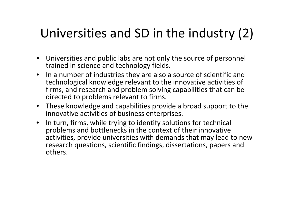## Universities and SD in the industry (2)

- Universities and public labs are not only the source of personnel trained in science and technology fields.
- In <sup>a</sup> number of industries they are also <sup>a</sup> source of scientific and technological knowledge relevant to the innovative activities of firms, and research and problem solving capabilities that can be directed to problems relevant to firms.
- These knowledge and capabilities provide <sup>a</sup> broad support to the innovative activities of business enterprises.
- In turn, firms, while trying to identify solutions for technical problems and bottlenecks in the context of their innovative activities, provide universities with demands that may lead to new research questions, scientific findings, dissertations, papers and others.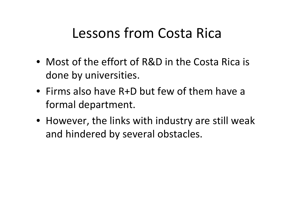## Lessons from Costa Rica

- Most of the effort of R&D in the Costa Rica is done by universities.
- Firms also have R+D but few of them have <sup>a</sup> formal department.
- However, the links with industry are still weak and hindered by several obstacles.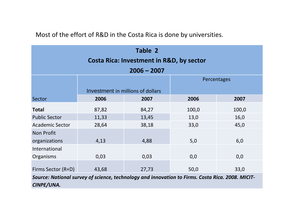#### Most of the effort of R&D in the Costa Rica is done by universities.

| Table 2<br><b>Costa Rica: Investment in R&amp;D, by sector</b> |       |                                   |             |       |  |  |  |  |
|----------------------------------------------------------------|-------|-----------------------------------|-------------|-------|--|--|--|--|
| $2006 - 2007$                                                  |       |                                   |             |       |  |  |  |  |
|                                                                |       |                                   | Percentages |       |  |  |  |  |
|                                                                |       | Investment in millions of dollars |             |       |  |  |  |  |
| Sector                                                         | 2006  | 2007                              | 2006        | 2007  |  |  |  |  |
| <b>Total</b>                                                   | 87,82 | 84,27                             | 100,0       | 100,0 |  |  |  |  |
| <b>Public Sector</b>                                           | 11,33 | 13,45                             | 13,0        | 16,0  |  |  |  |  |
| <b>Academic Sector</b>                                         | 28,64 | 38,18                             | 33,0        | 45,0  |  |  |  |  |
| <b>Non Profit</b>                                              |       |                                   |             |       |  |  |  |  |
| organizations                                                  | 4,13  | 4,88                              | 5,0         | 6,0   |  |  |  |  |
| International                                                  |       |                                   |             |       |  |  |  |  |
| Organisms                                                      | 0,03  | 0,03                              | 0,0         | 0,0   |  |  |  |  |
| Firms Sector (R+D)                                             | 43,68 | 27,73                             | 50,0        | 33,0  |  |  |  |  |

*Source: National survey of science, technology and innovation to Firms. Costa Rica. 2008. MICIT‐ CINPE/UNA.*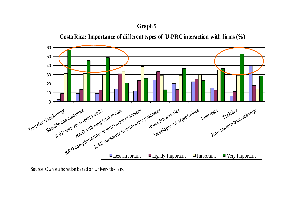#### **Graph 5**





Source: Own elaboration based on Universities and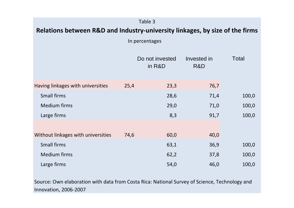| Table 3                                                                      |      |                           |                    |              |  |  |  |
|------------------------------------------------------------------------------|------|---------------------------|--------------------|--------------|--|--|--|
| Relations between R&D and Industry-university linkages, by size of the firms |      |                           |                    |              |  |  |  |
|                                                                              |      | In percentages            |                    |              |  |  |  |
|                                                                              |      | Do not invested<br>in R&D | Invested in<br>R&D | <b>Total</b> |  |  |  |
| Having linkages with universities                                            | 25,4 | 23,3                      | 76,7               |              |  |  |  |
| <b>Small firms</b>                                                           |      | 28,6                      | 71,4               | 100,0        |  |  |  |
| <b>Medium firms</b>                                                          |      | 29,0                      | 71,0               | 100,0        |  |  |  |
| Large firms                                                                  |      | 8,3                       | 91,7               | 100,0        |  |  |  |
|                                                                              |      |                           |                    |              |  |  |  |
| Without linkages with universities                                           | 74,6 | 60,0                      | 40,0               |              |  |  |  |
| <b>Small firms</b>                                                           |      | 63,1                      | 36,9               | 100,0        |  |  |  |
| <b>Medium firms</b>                                                          |      | 62,2                      | 37,8               | 100,0        |  |  |  |
| Large firms                                                                  |      | 54,0                      | 46,0               | 100,0        |  |  |  |

Source: Own elaboration with data from Costa Rica: National Survey of Science, Technology and Innovation, 2006‐2007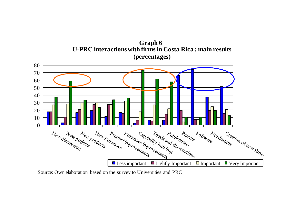**U-PRC interactions with firms in Costa Rica : main results (percentages) Graph 6**



Source: Own elaboration based on the survey to Universities and PRC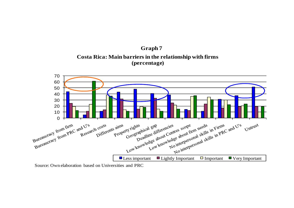



Source: Own elaboration based on Universities and PRC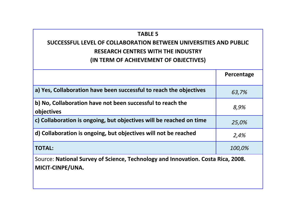#### **TABLE 5**

### **SUCCESSFUL LEVEL OF COLLABORATION BETWEEN UNIVERSITIES AND PUBLIC RESEARCH CENTRES WITH THE INDUSTRY (IN TERM OF ACHIEVEMENT OF OBJECTIVES)**

|                                                                          | Percentage |
|--------------------------------------------------------------------------|------------|
| a) Yes, Collaboration have been successful to reach the objectives       | 63,7%      |
| b) No, Collaboration have not been successful to reach the<br>objectives | 8,9%       |
| c) Collaboration is ongoing, but objectives will be reached on time      | 25,0%      |
| d) Collaboration is ongoing, but objectives will not be reached          | 2,4%       |
| <b>TOTAL:</b>                                                            | 100,0%     |

Source: **National Survey of Science, Technology and Innovation. Costa Rica, 2008. MICIT‐CINPE/UNA.**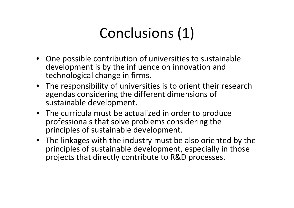# Conclusions (1)

- One possible contribution of universities to sustainable development is by the influence on innovation and technological change in firms.
- The responsibility of universities is to orient their research agendas considering the different dimensions of sustainable development.
- The curricula must be actualized in order to produce professionals that solve problems considering the principles of sustainable development.
- The linkages with the industry must be also oriented by the principles of sustainable development, especially in those projects that directly contribute to R&D processes.